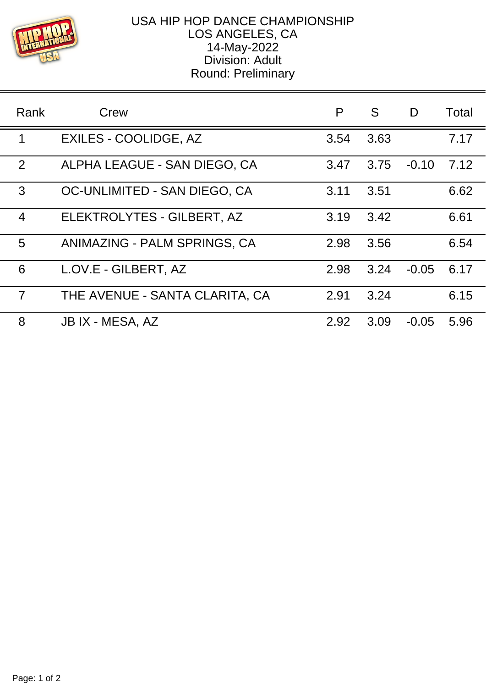

## USA HIP HOP DANCE CHAMPIONSHIP LOS ANGELES, CA 14-May-2022 Division: Adult Round: Preliminary

| Rank           | Crew                           | P    | S    | D       | Total |
|----------------|--------------------------------|------|------|---------|-------|
| 1              | <b>EXILES - COOLIDGE, AZ</b>   | 3.54 | 3.63 |         | 7.17  |
| 2              | ALPHA LEAGUE - SAN DIEGO, CA   | 3.47 | 3.75 | $-0.10$ | 7.12  |
| 3              | OC-UNLIMITED - SAN DIEGO, CA   | 3.11 | 3.51 |         | 6.62  |
| $\overline{4}$ | ELEKTROLYTES - GILBERT, AZ     | 3.19 | 3.42 |         | 6.61  |
| 5              | ANIMAZING - PALM SPRINGS, CA   | 2.98 | 3.56 |         | 6.54  |
| 6              | L.OV.E - GILBERT, AZ           | 2.98 | 3.24 | $-0.05$ | 6.17  |
| $\overline{7}$ | THE AVENUE - SANTA CLARITA, CA | 2.91 | 3.24 |         | 6.15  |
| 8              | JB IX - MESA, AZ               | 2.92 | 3.09 | $-0.05$ | 5.96  |